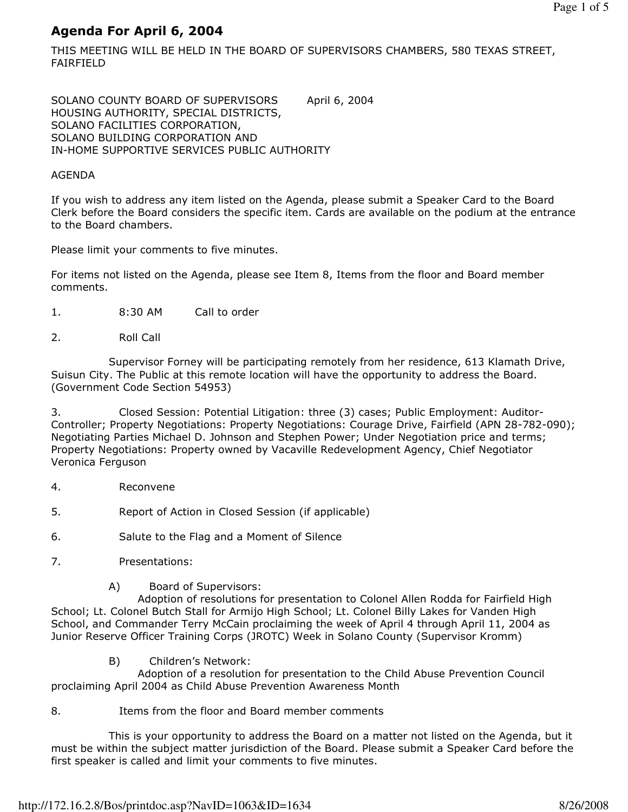# Agenda For April 6, 2004

THIS MEETING WILL BE HELD IN THE BOARD OF SUPERVISORS CHAMBERS, 580 TEXAS STREET, FAIRFIELD

SOLANO COUNTY BOARD OF SUPERVISORS April 6, 2004 HOUSING AUTHORITY, SPECIAL DISTRICTS, SOLANO FACILITIES CORPORATION, SOLANO BUILDING CORPORATION AND IN-HOME SUPPORTIVE SERVICES PUBLIC AUTHORITY

#### AGENDA

If you wish to address any item listed on the Agenda, please submit a Speaker Card to the Board Clerk before the Board considers the specific item. Cards are available on the podium at the entrance to the Board chambers.

Please limit your comments to five minutes.

For items not listed on the Agenda, please see Item 8, Items from the floor and Board member comments.

- 1. 8:30 AM Call to order
- 2. Roll Call

 Supervisor Forney will be participating remotely from her residence, 613 Klamath Drive, Suisun City. The Public at this remote location will have the opportunity to address the Board. (Government Code Section 54953)

3. Closed Session: Potential Litigation: three (3) cases; Public Employment: Auditor-Controller; Property Negotiations: Property Negotiations: Courage Drive, Fairfield (APN 28-782-090); Negotiating Parties Michael D. Johnson and Stephen Power; Under Negotiation price and terms; Property Negotiations: Property owned by Vacaville Redevelopment Agency, Chief Negotiator Veronica Ferguson

- 4. Reconvene
- 5. Report of Action in Closed Session (if applicable)

6. Salute to the Flag and a Moment of Silence

- 7. Presentations:
	- A) Board of Supervisors:

 Adoption of resolutions for presentation to Colonel Allen Rodda for Fairfield High School; Lt. Colonel Butch Stall for Armijo High School; Lt. Colonel Billy Lakes for Vanden High School, and Commander Terry McCain proclaiming the week of April 4 through April 11, 2004 as Junior Reserve Officer Training Corps (JROTC) Week in Solano County (Supervisor Kromm)

B) Children's Network:

 Adoption of a resolution for presentation to the Child Abuse Prevention Council proclaiming April 2004 as Child Abuse Prevention Awareness Month

#### 8. Items from the floor and Board member comments

 This is your opportunity to address the Board on a matter not listed on the Agenda, but it must be within the subject matter jurisdiction of the Board. Please submit a Speaker Card before the first speaker is called and limit your comments to five minutes.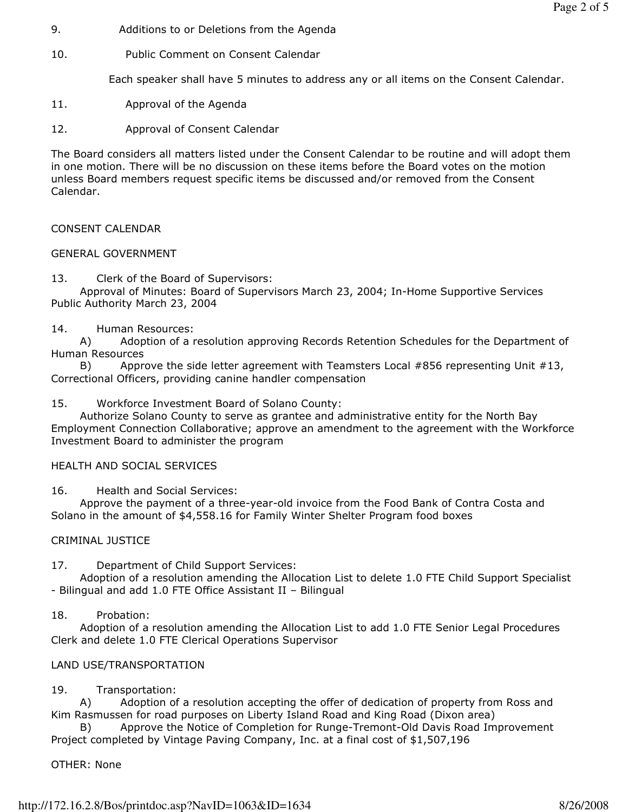- 9. Additions to or Deletions from the Agenda
- 10. Public Comment on Consent Calendar

Each speaker shall have 5 minutes to address any or all items on the Consent Calendar.

- 11. Approval of the Agenda
- 12. Approval of Consent Calendar

The Board considers all matters listed under the Consent Calendar to be routine and will adopt them in one motion. There will be no discussion on these items before the Board votes on the motion unless Board members request specific items be discussed and/or removed from the Consent Calendar.

## CONSENT CALENDAR

### GENERAL GOVERNMENT

13. Clerk of the Board of Supervisors:

 Approval of Minutes: Board of Supervisors March 23, 2004; In-Home Supportive Services Public Authority March 23, 2004

### 14. Human Resources:

 A) Adoption of a resolution approving Records Retention Schedules for the Department of Human Resources

B) Approve the side letter agreement with Teamsters Local #856 representing Unit #13, Correctional Officers, providing canine handler compensation

### 15. Workforce Investment Board of Solano County:

 Authorize Solano County to serve as grantee and administrative entity for the North Bay Employment Connection Collaborative; approve an amendment to the agreement with the Workforce Investment Board to administer the program

### HEALTH AND SOCIAL SERVICES

16. Health and Social Services:

 Approve the payment of a three-year-old invoice from the Food Bank of Contra Costa and Solano in the amount of \$4,558.16 for Family Winter Shelter Program food boxes

## CRIMINAL JUSTICE

17. Department of Child Support Services:

 Adoption of a resolution amending the Allocation List to delete 1.0 FTE Child Support Specialist - Bilingual and add 1.0 FTE Office Assistant II – Bilingual

18. Probation:

 Adoption of a resolution amending the Allocation List to add 1.0 FTE Senior Legal Procedures Clerk and delete 1.0 FTE Clerical Operations Supervisor

## LAND USE/TRANSPORTATION

## 19. Transportation:

 A) Adoption of a resolution accepting the offer of dedication of property from Ross and Kim Rasmussen for road purposes on Liberty Island Road and King Road (Dixon area)

Approve the Notice of Completion for Runge-Tremont-Old Davis Road Improvement Project completed by Vintage Paving Company, Inc. at a final cost of \$1,507,196

## OTHER: None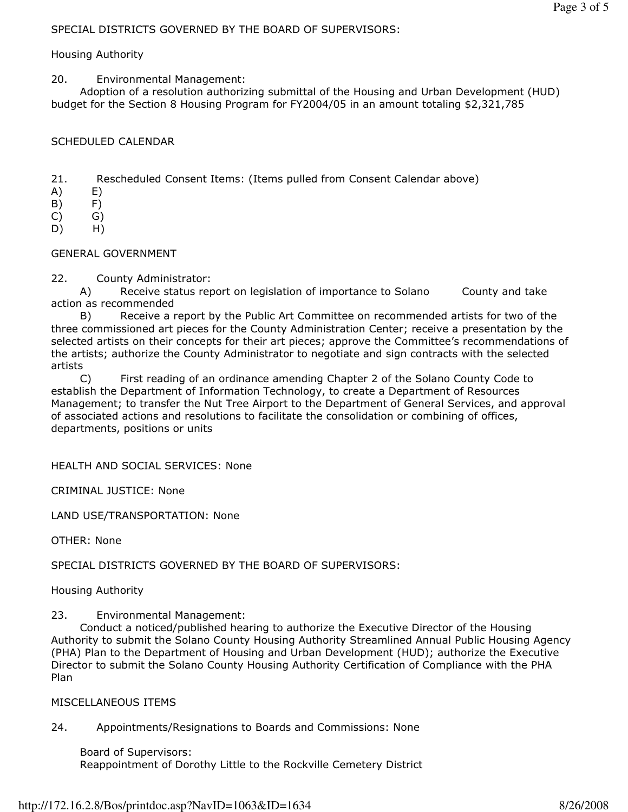### SPECIAL DISTRICTS GOVERNED BY THE BOARD OF SUPERVISORS:

#### Housing Authority

20. Environmental Management:

 Adoption of a resolution authorizing submittal of the Housing and Urban Development (HUD) budget for the Section 8 Housing Program for FY2004/05 in an amount totaling \$2,321,785

#### SCHEDULED CALENDAR

21. Rescheduled Consent Items: (Items pulled from Consent Calendar above)

- A) E)
- B) F)

 $(C)$   $G)$ 

D) H)

#### GENERAL GOVERNMENT

22. County Administrator:

 A) Receive status report on legislation of importance to Solano County and take action as recommended

 B) Receive a report by the Public Art Committee on recommended artists for two of the three commissioned art pieces for the County Administration Center; receive a presentation by the selected artists on their concepts for their art pieces; approve the Committee's recommendations of the artists; authorize the County Administrator to negotiate and sign contracts with the selected artists

 C) First reading of an ordinance amending Chapter 2 of the Solano County Code to establish the Department of Information Technology, to create a Department of Resources Management; to transfer the Nut Tree Airport to the Department of General Services, and approval of associated actions and resolutions to facilitate the consolidation or combining of offices, departments, positions or units

HEALTH AND SOCIAL SERVICES: None

CRIMINAL JUSTICE: None

LAND USE/TRANSPORTATION: None

OTHER: None

SPECIAL DISTRICTS GOVERNED BY THE BOARD OF SUPERVISORS:

Housing Authority

23. Environmental Management:

 Conduct a noticed/published hearing to authorize the Executive Director of the Housing Authority to submit the Solano County Housing Authority Streamlined Annual Public Housing Agency (PHA) Plan to the Department of Housing and Urban Development (HUD); authorize the Executive Director to submit the Solano County Housing Authority Certification of Compliance with the PHA Plan

#### MISCELLANEOUS ITEMS

24. Appointments/Resignations to Boards and Commissions: None

 Board of Supervisors: Reappointment of Dorothy Little to the Rockville Cemetery District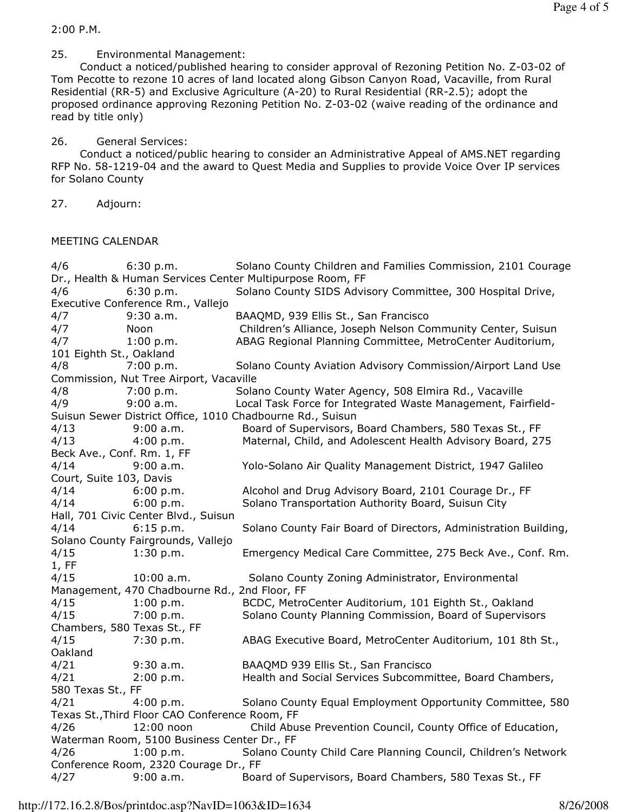2:00 P.M.

25. Environmental Management:

 Conduct a noticed/published hearing to consider approval of Rezoning Petition No. Z-03-02 of Tom Pecotte to rezone 10 acres of land located along Gibson Canyon Road, Vacaville, from Rural Residential (RR-5) and Exclusive Agriculture (A-20) to Rural Residential (RR-2.5); adopt the proposed ordinance approving Rezoning Petition No. Z-03-02 (waive reading of the ordinance and read by title only)

26. General Services:

 Conduct a noticed/public hearing to consider an Administrative Appeal of AMS.NET regarding RFP No. 58-1219-04 and the award to Quest Media and Supplies to provide Voice Over IP services for Solano County

27. Adjourn:

MEETING CALENDAR

| 4/6                                                                                | 6:30 p.m.                                   | Solano County Children and Families Commission, 2101 Courage    |
|------------------------------------------------------------------------------------|---------------------------------------------|-----------------------------------------------------------------|
| Dr., Health & Human Services Center Multipurpose Room, FF                          |                                             |                                                                 |
| 4/6                                                                                | 6:30 p.m.                                   | Solano County SIDS Advisory Committee, 300 Hospital Drive,      |
| Executive Conference Rm., Vallejo                                                  |                                             |                                                                 |
| 4/7                                                                                | $9:30$ a.m.                                 | BAAQMD, 939 Ellis St., San Francisco                            |
| 4/7                                                                                | Noon                                        | Children's Alliance, Joseph Nelson Community Center, Suisun     |
| 4/7                                                                                | 1:00 p.m.                                   | ABAG Regional Planning Committee, MetroCenter Auditorium,       |
| 101 Eighth St., Oakland                                                            |                                             |                                                                 |
| 4/8                                                                                | 7:00 p.m.                                   | Solano County Aviation Advisory Commission/Airport Land Use     |
| Commission, Nut Tree Airport, Vacaville                                            |                                             |                                                                 |
| 4/8                                                                                | 7:00 p.m.                                   | Solano County Water Agency, 508 Elmira Rd., Vacaville           |
| 4/9                                                                                | 9:00 a.m.                                   | Local Task Force for Integrated Waste Management, Fairfield-    |
| Suisun Sewer District Office, 1010 Chadbourne Rd., Suisun                          |                                             |                                                                 |
| 4/13                                                                               | 9:00 a.m.                                   | Board of Supervisors, Board Chambers, 580 Texas St., FF         |
| 4/13                                                                               | 4:00 p.m.                                   | Maternal, Child, and Adolescent Health Advisory Board, 275      |
| Beck Ave., Conf. Rm. 1, FF                                                         |                                             |                                                                 |
| 4/14                                                                               | 9:00 a.m.                                   | Yolo-Solano Air Quality Management District, 1947 Galileo       |
| Court, Suite 103, Davis                                                            |                                             |                                                                 |
| 4/14                                                                               | 6:00 p.m.                                   | Alcohol and Drug Advisory Board, 2101 Courage Dr., FF           |
| 4/14                                                                               | 6:00 p.m.                                   | Solano Transportation Authority Board, Suisun City              |
| Hall, 701 Civic Center Blvd., Suisun                                               |                                             |                                                                 |
| 4/14                                                                               | 6:15 p.m.                                   | Solano County Fair Board of Directors, Administration Building, |
| Solano County Fairgrounds, Vallejo                                                 |                                             |                                                                 |
| 4/15                                                                               | 1:30 p.m.                                   | Emergency Medical Care Committee, 275 Beck Ave., Conf. Rm.      |
| 1, FF                                                                              |                                             |                                                                 |
| 4/15                                                                               | $10:00$ a.m.                                | Solano County Zoning Administrator, Environmental               |
| Management, 470 Chadbourne Rd., 2nd Floor, FF                                      |                                             |                                                                 |
| 4/15                                                                               | 1:00 p.m.                                   | BCDC, MetroCenter Auditorium, 101 Eighth St., Oakland           |
| 4/15                                                                               | 7:00 p.m.                                   | Solano County Planning Commission, Board of Supervisors         |
| Chambers, 580 Texas St., FF                                                        |                                             |                                                                 |
| 4/15                                                                               | 7:30 p.m.                                   | ABAG Executive Board, MetroCenter Auditorium, 101 8th St.,      |
| Oakland                                                                            |                                             |                                                                 |
| 4/21                                                                               | $9:30$ a.m.                                 | BAAQMD 939 Ellis St., San Francisco                             |
| 4/21                                                                               | 2:00 p.m.                                   | Health and Social Services Subcommittee, Board Chambers,        |
| 580 Texas St., FF                                                                  |                                             |                                                                 |
| 4/21                                                                               | 4:00 p.m.                                   | Solano County Equal Employment Opportunity Committee, 580       |
| Texas St., Third Floor CAO Conference Room, FF                                     |                                             |                                                                 |
| 4/26                                                                               | 12:00 noon                                  | Child Abuse Prevention Council, County Office of Education,     |
|                                                                                    | Waterman Room, 5100 Business Center Dr., FF |                                                                 |
| Solano County Child Care Planning Council, Children's Network<br>4/26<br>1:00 p.m. |                                             |                                                                 |
| Conference Room, 2320 Courage Dr., FF                                              |                                             |                                                                 |
| 4/27                                                                               | 9:00 a.m.                                   | Board of Supervisors, Board Chambers, 580 Texas St., FF         |
|                                                                                    |                                             |                                                                 |